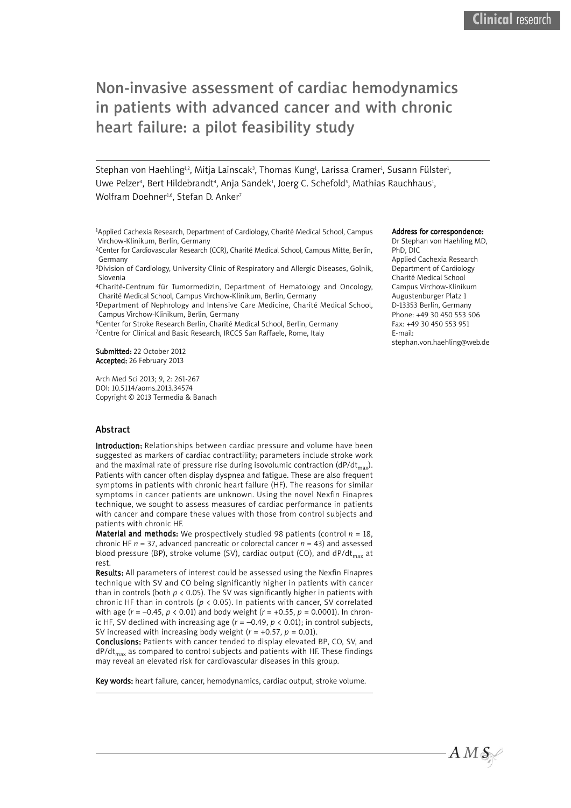# Non-invasive assessment of cardiac hemodynamics in patients with advanced cancer and with chronic heart failure: a pilot feasibility study

Stephan von Haehling $^{\text{h2}}$ , Mitja Lainscak $^{\text{3}}$ , Thomas Kung $^{\text{1}}$ , Larissa Cramer $^{\text{l}}$ , Susann Fülster $^{\text{l}}$ , Uwe Pelzer<sup>4</sup>, Bert Hildebrandt<sup>4</sup>, Anja Sandek<sup>1</sup>, Joerg C. Schefold<sup>5</sup>, Mathias Rauchhaus<sup>1</sup>, Wolfram Doehner<sup>1,6</sup>, Stefan D. Anker<sup>7</sup>

1Applied Cachexia Research, Department of Cardiology, Charité Medical School, Campus Virchow-Klinikum, Berlin, Germany

2Center for Cardiovascular Research (CCR), Charité Medical School, Campus Mitte, Berlin, Germany

3Division of Cardiology, University Clinic of Respiratory and Allergic Diseases, Golnik, Slovenia

4Charité-Centrum für Tumormedizin, Department of Hematology and Oncology, Charité Medical School, Campus Virchow-Klinikum, Berlin, Germany

5Department of Nephrology and Intensive Care Medicine, Charité Medical School, Campus Virchow-Klinikum, Berlin, Germany

6Center for Stroke Research Berlin, Charité Medical School, Berlin, Germany

7Centre for Clinical and Basic Research, IRCCS San Raffaele, Rome, Italy

Submitted: 22 October 2012 Accepted: 26 February 2013

Arch Med Sci 2013; 9, 2: 261-267 DOI: 10.5114/aoms.2013.34574 Copyright © 2013 Termedia & Banach

## Abstract

Introduction: Relationships between cardiac pressure and volume have been suggested as markers of cardiac contractility; parameters include stroke work and the maximal rate of pressure rise during isovolumic contraction (dP/dt<sub>max</sub>). Patients with cancer often display dyspnea and fatigue. These are also frequent symptoms in patients with chronic heart failure (HF). The reasons for similar symptoms in cancer patients are unknown. Using the novel Nexfin Finapres technique, we sought to assess measures of cardiac performance in patients with cancer and compare these values with those from control subjects and patients with chronic HF.

**Material and methods:** We prospectively studied 98 patients (control  $n = 18$ , chronic HF  $n = 37$ , advanced pancreatic or colorectal cancer  $n = 43$ ) and assessed blood pressure (BP), stroke volume (SV), cardiac output (CO), and  $dP/dt_{max}$  at rest.

Results: All parameters of interest could be assessed using the Nexfin Finapres technique with SV and CO being significantly higher in patients with cancer than in controls (both  $p < 0.05$ ). The SV was significantly higher in patients with chronic HF than in controls (*p* < 0.05). In patients with cancer, SV correlated with age (*r* = –0.45, *p* < 0.01) and body weight (*r* = +0.55, *p* = 0.0001). In chronic HF, SV declined with increasing age  $(r = -0.49, p < 0.01)$ ; in control subjects, SV increased with increasing body weight (*r* = +0.57, *p* = 0.01).

Conclusions: Patients with cancer tended to display elevated BP, CO, SV, and  $dP/dt_{max}$  as compared to control subjects and patients with HF. These findings may reveal an elevated risk for cardiovascular diseases in this group.

Key words: heart failure, cancer, hemodynamics, cardiac output, stroke volume.

#### Address for correspondence:

Dr Stephan von Haehling MD, PhD, DIC Applied Cachexia Research Department of Cardiology Charité Medical School Campus Virchow-Klinikum Augustenburger Platz 1 D-13353 Berlin, Germany Phone: +49 30 450 553 506 Fax: +49 30 450 553 951 E-mail: stephan.von.haehling@web.de

 $AMS$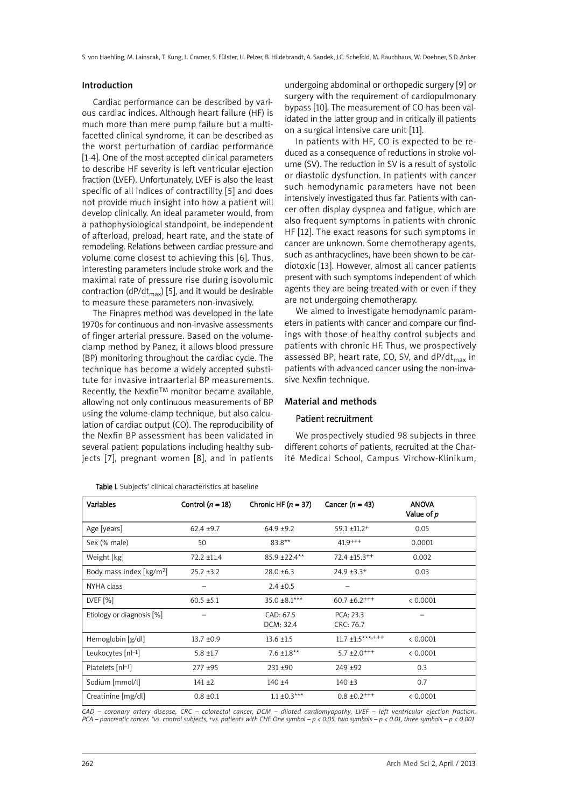#### Introduction

Cardiac performance can be described by various cardiac indices. Although heart failure (HF) is much more than mere pump failure but a multifacetted clinical syndrome, it can be described as the worst perturbation of cardiac performance [1-4]. One of the most accepted clinical parameters to describe HF severity is left ventricular ejection fraction (LVEF). Unfortunately, LVEF is also the least specific of all indices of contractility [5] and does not provide much insight into how a patient will develop clinically. An ideal parameter would, from a pathophysiological standpoint, be independent of afterload, preload, heart rate, and the state of remodeling. Relations between cardiac pressure and volume come closest to achieving this [6]. Thus, interesting parameters include stroke work and the maximal rate of pressure rise during isovolumic contraction (dP/dt<sub>max</sub>) [5], and it would be desirable to measure these parameters non-invasively.

The Finapres method was developed in the late 1970s for continuous and non-invasive assessments of finger arterial pressure. Based on the volumeclamp method by Panez, it allows blood pressure (BP) monitoring throughout the cardiac cycle. The technique has become a widely accepted substitute for invasive intraarterial BP measurements. Recently, the Nexfin™ monitor became available, allowing not only continuous measurements of BP using the volume-clamp technique, but also calculation of cardiac output (CO). The reproducibility of the Nexfin BP assessment has been validated in several patient populations including healthy subjects [7], pregnant women [8], and in patients

Table I. Subjects' clinical characteristics at baseline

undergoing abdominal or orthopedic surgery [9] or surgery with the requirement of cardiopulmonary bypass [10]. The measurement of CO has been validated in the latter group and in critically ill patients on a surgical intensive care unit [11].

In patients with HF, CO is expected to be reduced as a consequence of reductions in stroke volume (SV). The reduction in SV is a result of systolic or diastolic dysfunction. In patients with cancer such hemodynamic parameters have not been intensively investigated thus far. Patients with cancer often display dyspnea and fatigue, which are also frequent symptoms in patients with chronic HF [12]. The exact reasons for such symptoms in cancer are unknown. Some chemotherapy agents, such as anthracyclines, have been shown to be cardiotoxic [13]. However, almost all cancer patients present with such symptoms independent of which agents they are being treated with or even if they are not undergoing chemotherapy.

We aimed to investigate hemodynamic parameters in patients with cancer and compare our findings with those of healthy control subjects and patients with chronic HF. Thus, we prospectively assessed BP, heart rate, CO, SV, and  $dP/dt_{max}$  in patients with advanced cancer using the non-invasive Nexfin technique.

#### Material and methods

## Patient recruitment

We prospectively studied 98 subjects in three different cohorts of patients, recruited at the Charité Medical School, Campus Virchow-Klinikum,

| <b>Variables</b>                     | Control $(n = 18)$ | Chronic HF $(n = 37)$  | Cancer $(n = 43)$             | <b>ANOVA</b><br>Value of p |
|--------------------------------------|--------------------|------------------------|-------------------------------|----------------------------|
| Age [years]                          | $62.4 + 9.7$       | $64.9 + 9.2$           | $59.1 \pm 11.2^+$             | 0.05                       |
| Sex (% male)                         | 50                 | $83.8**$               | $41.9$ <sup>+++</sup>         | 0.0001                     |
| Weight [kg]                          | $72.2 + 11.4$      | 85.9 ±22.4**           | $72.4 \pm 15.3^{++}$          | 0.002                      |
| Body mass index [kg/m <sup>2</sup> ] | $25.2 + 3.2$       | $28.0 \pm 6.3$         | $24.9 \pm 3.3^+$              | 0.03                       |
| NYHA class                           |                    | $2.4 \pm 0.5$          |                               |                            |
| LVEF [%]                             | $60.5 \pm 5.1$     | 35.0 ±8.1***           | $60.7 \pm 6.2$ <sup>+++</sup> | < 0.0001                   |
| Etiology or diagnosis [%]            |                    | CAD: 67.5<br>DCM: 32.4 | PCA: 23.3<br>CRC: 76.7        |                            |
| Hemoglobin [g/dl]                    | $13.7 \pm 0.9$     | $13.6 \pm 1.5$         | $11.7 \pm 1.5***++$           | < 0.0001                   |
| Leukocytes $[n-1]$                   | $5.8 \pm 1.7$      | $7.6 \pm 1.8**$        | $5.7 \pm 2.0^{+++}$           | < 0.0001                   |
| Platelets $[n[-1]$                   | $277 + 95$         | $231 + 90$             | $249 + 92$                    | 0.3                        |
| Sodium [mmol/l]                      | $141 + 2$          | $140 + 4$              | $140 + 3$                     | 0.7                        |
| Creatinine [mg/dl]                   | $0.8 \pm 0.1$      | $1.1 \pm 0.3***$       | $0.8 \pm 0.2$ <sup>+++</sup>  | < 0.0001                   |

 $CAD$  – coronary artery disease. CRC – colorectal cancer. DCM – dilated cardiomyopathy. LVEF – left ventricular eiection fraction. PCA – pancreatic cancer. \*vs. control subjects, +vs. patients with CHF. One symbol – p < 0.05, two symbols – p < 0.01, three symbols – p < 0.001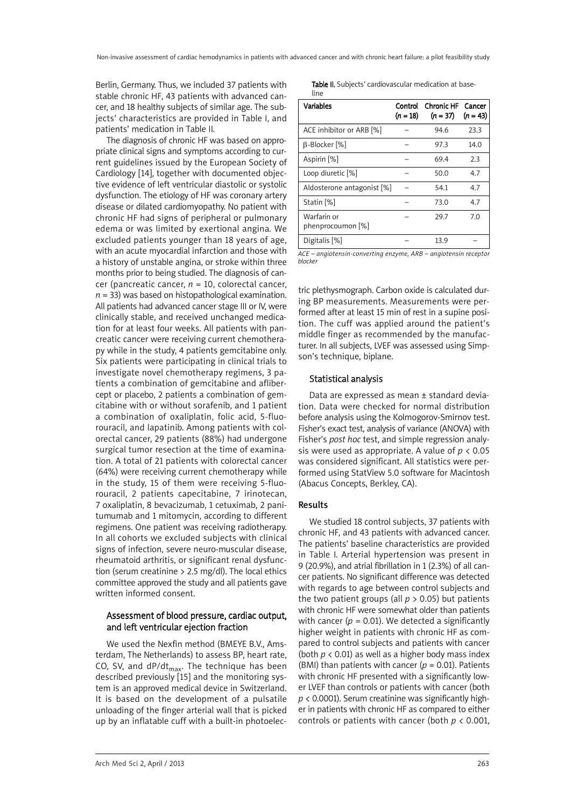Berlin, Germany. Thus, we included 37 patients with stable chronic HF, 43 patients with advanced cancer, and 18 healthy subjects of similar age. The subjects' characteristics are provided in Table I, and patients' medication in Table II.

The diagnosis of chronic HF was based on appropriate clinical signs and symptoms according to current guidelines issued by the European Society of Cardiology [14], together with documented objective evidence of left ventricular diastolic or systolic dysfunction. The etiology of HF was coronary artery disease or dilated cardiomyopathy. No patient with chronic HF had signs of peripheral or pulmonary edema or was limited by exertional angina. We excluded patients younger than 18 years of age, with an acute myocardial infarction and those with a history of unstable angina, or stroke within three months prior to being studied. The diagnosis of cancer (pancreatic cancer, *n* = 10, colorectal cancer,  $n = 33$ ) was based on histopathological examination. All patients had advanced cancer stage III or IV, were clinically stable, and received unchanged medication for at least four weeks. All patients with pancreatic cancer were receiving current chemotherapy while in the study, 4 patients gemcitabine only. Six patients were participating in clinical trials to investigate novel chemotherapy regimens, 3 patients a combination of gemcitabine and aflibercept or placebo, 2 patients a combination of gemcitabine with or without sorafenib, and 1 patient a combination of oxaliplatin, folic acid, 5-fluorouracil, and lapatinib. Among patients with colorectal cancer, 29 patients (88%) had undergone surgical tumor resection at the time of examination. A total of 21 patients with colorectal cancer (64%) were receiving current chemotherapy while in the study, 15 of them were receiving 5-fluorouracil, 2 patients capecitabine, 7 irinotecan, 7 oxaliplatin, 8 bevacizumab, 1 cetuximab, 2 panitumumab and 1 mitomycin, according to different regimens. One patient was receiving radiotherapy. In all cohorts we excluded subjects with clinical signs of infection, severe neuro-muscular disease, rheumatoid arthritis, or significant renal dysfunction (serum creatinine > 2.5 mg/dl). The local ethics committee approved the study and all patients gave written informed consent.

# Assessment of blood pressure, cardiac output, and left ventricular ejection fraction

We used the Nexfin method (BMEYE B.V., Amsterdam, The Netherlands) to assess BP, heart rate, CO, SV, and  $dP/dt_{max}$ . The technique has been described previously [15] and the monitoring system is an approved medical device in Switzerland. It is based on the development of a pulsatile unloading of the finger arterial wall that is picked up by an inflatable cuff with a built-in photoelecTable II. Subjects' cardiovascular medication at baseline

| <b>Variables</b>                 | $(n = 18)$ | Control Chronic HF<br>$(n = 37)$ | Cancer<br>$(n = 43)$ |
|----------------------------------|------------|----------------------------------|----------------------|
| ACE inhibitor or ARB [%]         |            | 94.6                             | 23.3                 |
| B-Blocker [%]                    |            | 97.3                             | 14.0                 |
| Aspirin [%]                      |            | 69.4                             | 23                   |
| Loop diuretic [%]                |            | 50.0                             | 4.7                  |
| Aldosterone antagonist [%]       |            | 54.1                             | 4.7                  |
| Statin <sup>[%]</sup>            |            | 73.0                             | 4.7                  |
| Warfarin or<br>phenprocoumon [%] |            | 29.7                             | 7.0                  |
| Digitalis [%]                    |            | 13.9                             |                      |

*ACE – angiotensin-converting enzyme, ARB – angiotensin receptor blocker*

tric plethysmograph. Carbon oxide is calculated during BP measurements. Measurements were performed after at least 15 min of rest in a supine position. The cuff was applied around the patient's middle finger as recommended by the manufacturer. In all subjects, LVEF was assessed using Simpson's technique, biplane.

## Statistical analysis

Data are expressed as mean ± standard deviation. Data were checked for normal distribution before analysis using the Kolmogorov-Smirnov test. Fisher's exact test, analysis of variance (ANOVA) with Fisher's *post hoc* test, and simple regression analysis were used as appropriate. A value of *p* < 0.05 was considered significant. All statistics were performed using StatView 5.0 software for Macintosh (Abacus Concepts, Berkley, CA).

## Results

We studied 18 control subjects, 37 patients with chronic HF, and 43 patients with advanced cancer. The patients' baseline characteristics are provided in Table I. Arterial hypertension was present in 9 (20.9%), and atrial fibrillation in 1 (2.3%) of all cancer patients. No significant difference was detected with regards to age between control subjects and the two patient groups (all  $p > 0.05$ ) but patients with chronic HF were somewhat older than patients with cancer ( $p = 0.01$ ). We detected a significantly higher weight in patients with chronic HF as compared to control subjects and patients with cancer (both  $p < 0.01$ ) as well as a higher body mass index (BMI) than patients with cancer ( $p = 0.01$ ). Patients with chronic HF presented with a significantly lower LVEF than controls or patients with cancer (both *p* < 0.0001). Serum creatinine was significantly higher in patients with chronic HF as compared to either controls or patients with cancer (both *p* < 0.001,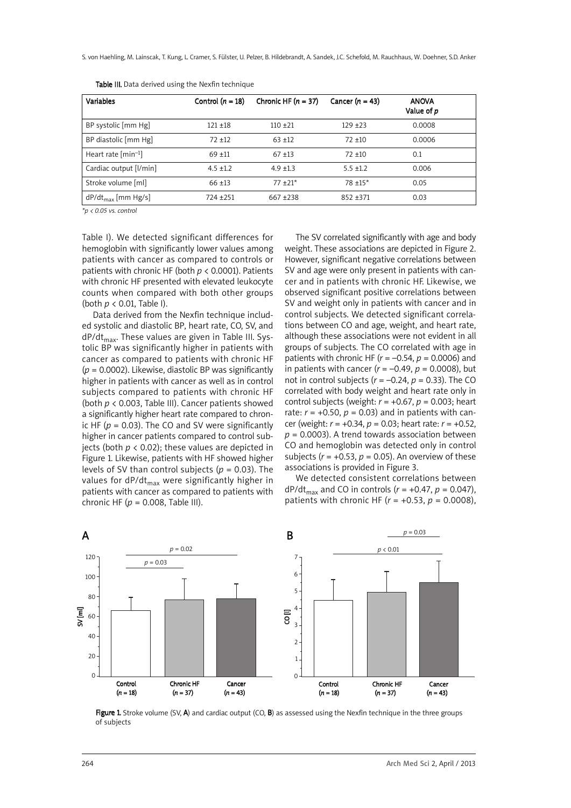S. von Haehling, M. Lainscak, T. Kung, L. Cramer, S. Fülster, U. Pelzer, B. Hildebrandt, A. Sandek, J.C. Schefold, M. Rauchhaus, W. Doehner, S.D. Anker

| <b>Variables</b>              | Control $(n = 18)$ | Chronic HF $(n = 37)$ | Cancer $(n = 43)$ | <b>ANOVA</b><br>Value of p |
|-------------------------------|--------------------|-----------------------|-------------------|----------------------------|
| BP systolic [mm Hg]           | $121 + 18$         | $110 + 21$            | $129 + 23$        | 0.0008                     |
| BP diastolic [mm Hg]          | $72 + 12$          | $63 + 12$             | $72 + 10$         | 0.0006                     |
| Heart rate ${\rm [min^{-1}]}$ | $69 + 11$          | $67 + 13$             | $72 + 10$         | 0.1                        |
| Cardiac output [l/min]        | $4.5 + 1.2$        | $4.9 + 1.3$           | $5.5 + 1.2$       | 0.006                      |
| Stroke volume [ml]            | $66 + 13$          | $77 + 21*$            | $78 + 15*$        | 0.05                       |
| $dP/dt_{max}$ [mm Hg/s]       | $724 + 251$        | $667 + 238$           | $852 + 371$       | 0.03                       |

Table III. Data derived using the Nexfin technique

*\*p < 0.05 vs. control*

Table I). We detected significant differences for hemoglobin with significantly lower values among patients with cancer as compared to controls or patients with chronic HF (both *p* < 0.0001). Patients with chronic HF presented with elevated leukocyte counts when compared with both other groups (both *p* < 0.01, Table I).

Data derived from the Nexfin technique included systolic and diastolic BP, heart rate, CO, SV, and  $dP/dt_{max}$ . These values are given in Table III. Systolic BP was significantly higher in patients with cancer as compared to patients with chronic HF (*p* = 0.0002). Likewise, diastolic BP was significantly higher in patients with cancer as well as in control subjects compared to patients with chronic HF (both *p* < 0.003, Table III). Cancer patients showed a significantly higher heart rate compared to chronic HF ( $p = 0.03$ ). The CO and SV were significantly higher in cancer patients compared to control subjects (both *p* < 0.02); these values are depicted in Figure 1. Likewise, patients with HF showed higher levels of SV than control subjects (*p* = 0.03). The values for  $dP/dt_{max}$  were significantly higher in patients with cancer as compared to patients with chronic HF (*p* = 0.008, Table III).

The SV correlated significantly with age and body weight. These associations are depicted in Figure 2. However, significant negative correlations between SV and age were only present in patients with cancer and in patients with chronic HF. Likewise, we observed significant positive correlations between SV and weight only in patients with cancer and in control subjects. We detected significant correlations between CO and age, weight, and heart rate, although these associations were not evident in all groups of subjects. The CO correlated with age in patients with chronic HF (*r* = –0.54, *p* = 0.0006) and in patients with cancer  $(r = -0.49, p = 0.0008)$ , but not in control subjects (*r* = –0.24, *p* = 0.33). The CO correlated with body weight and heart rate only in control subjects (weight: *r* = +0.67, *p* = 0.003; heart rate:  $r = +0.50$ ,  $p = 0.03$ ) and in patients with cancer (weight: *r* = +0.34, *p* = 0.03; heart rate: *r* = +0.52,  $p = 0.0003$ ). A trend towards association between CO and hemoglobin was detected only in control subjects  $(r = +0.53, p = 0.05)$ . An overview of these associations is provided in Figure 3.

We detected consistent correlations between  $dP/dt_{\text{max}}$  and CO in controls ( $r = +0.47$ ,  $p = 0.047$ ), patients with chronic HF ( $r = +0.53$ ,  $p = 0.0008$ ),



Figure 1. Stroke volume (SV, A) and cardiac output (CO, B) as assessed using the Nexfin technique in the three groups of subjects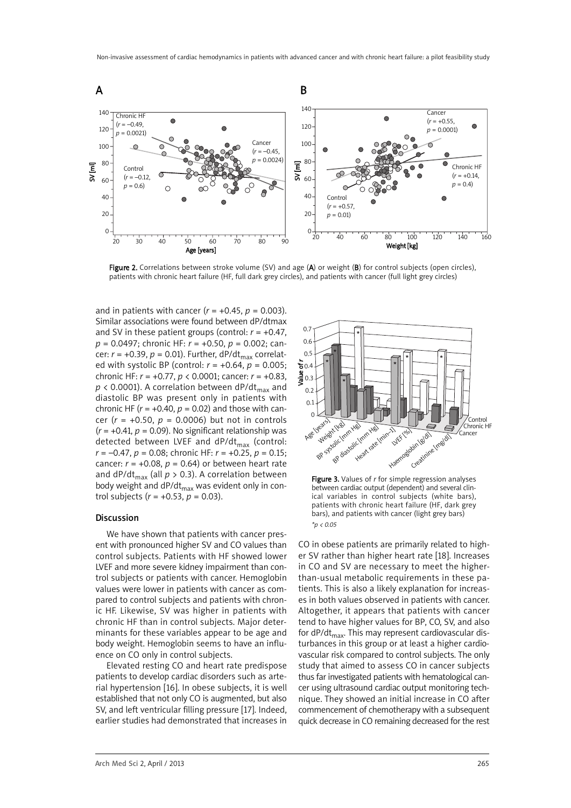

Figure 2. Correlations between stroke volume (SV) and age (A) or weight (B) for control subjects (open circles), patients with chronic heart failure (HF, full dark grey circles), and patients with cancer (full light grey circles)

and in patients with cancer  $(r = +0.45, p = 0.003)$ . Similar associations were found between dP/dtmax and SV in these patient groups (control:  $r = +0.47$ , *p* = 0.0497; chronic HF: *r* = +0.50, *p* = 0.002; cancer:  $r = +0.39$ ,  $p = 0.01$ ). Further, dP/dt<sub>max</sub> correlated with systolic BP (control: *r* = +0.64, *p* = 0.005; chronic HF: *r* = +0.77, *p* < 0.0001; cancer: *r* = +0.83,  $p \lt 0.0001$ ). A correlation between dP/dt<sub>max</sub> and diastolic BP was present only in patients with chronic HF ( $r = +0.40$ ,  $p = 0.02$ ) and those with cancer (*r* = +0.50, *p* = 0.0006) but not in controls  $(r = +0.41, p = 0.09)$ . No significant relationship was detected between LVEF and  $dP/dt_{max}$  (control: *r* = –0.47, *p* = 0.08; chronic HF: *r* = +0.25, *p* = 0.15; cancer:  $r = +0.08$ ,  $p = 0.64$ ) or between heart rate and dP/dt<sub>max</sub> (all  $p > 0.3$ ). A correlation between body weight and dP/d $t_{\text{max}}$  was evident only in control subjects (*r* = +0.53, *p* = 0.03).

#### Discussion

We have shown that patients with cancer present with pronounced higher SV and CO values than control subjects. Patients with HF showed lower LVEF and more severe kidney impairment than control subjects or patients with cancer. Hemoglobin values were lower in patients with cancer as compared to control subjects and patients with chronic HF. Likewise, SV was higher in patients with chronic HF than in control subjects. Major determinants for these variables appear to be age and body weight. Hemoglobin seems to have an influence on CO only in control subjects.

Elevated resting CO and heart rate predispose patients to develop cardiac disorders such as arterial hypertension [16]. In obese subjects, it is well established that not only CO is augmented, but also SV, and left ventricular filling pressure [17]. Indeed, earlier studies had demonstrated that increases in



Figure 3. Values of *r* for simple regression analyses between cardiac output (dependent) and several clinical variables in control subjects (white bars), patients with chronic heart failure (HF, dark grey bars), and patients with cancer (light grey bars) *\*p < 0.05*

CO in obese patients are primarily related to higher SV rather than higher heart rate [18]. Increases in CO and SV are necessary to meet the higherthan-usual metabolic requirements in these patients. This is also a likely explanation for increases in both values observed in patients with cancer. Altogether, it appears that patients with cancer tend to have higher values for BP, CO, SV, and also for dP/d $t_{max}$ . This may represent cardiovascular disturbances in this group or at least a higher cardiovascular risk compared to control subjects. The only study that aimed to assess CO in cancer subjects thus far investigated patients with hematological cancer using ultrasound cardiac output monitoring technique. They showed an initial increase in CO after commencement of chemotherapy with a subsequent quick decrease in CO remaining decreased for the rest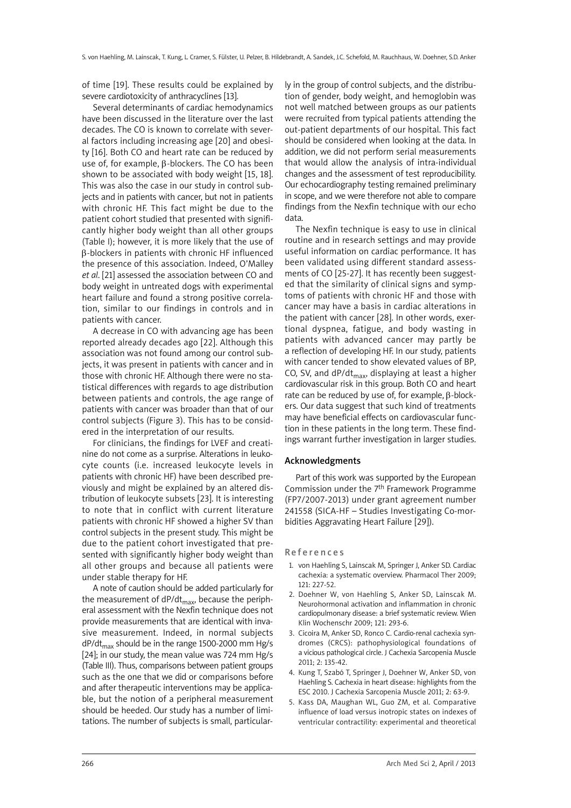of time [19]. These results could be explained by severe cardiotoxicity of anthracyclines [13].

Several determinants of cardiac hemodynamics have been discussed in the literature over the last decades. The CO is known to correlate with several factors including increasing age [20] and obesity [16]. Both CO and heart rate can be reduced by use of, for example, β-blockers. The CO has been shown to be associated with body weight [15, 18]. This was also the case in our study in control subjects and in patients with cancer, but not in patients with chronic HF. This fact might be due to the patient cohort studied that presented with significantly higher body weight than all other groups (Table I); however, it is more likely that the use of β-blockers in patients with chronic HF influenced the presence of this association. Indeed, O'Malley *et al*. [21] assessed the association between CO and body weight in untreated dogs with experimental heart failure and found a strong positive correlation, similar to our findings in controls and in patients with cancer.

A decrease in CO with advancing age has been reported already decades ago [22]. Although this association was not found among our control subjects, it was present in patients with cancer and in those with chronic HF. Although there were no statistical differences with regards to age distribution between patients and controls, the age range of patients with cancer was broader than that of our control subjects (Figure 3). This has to be considered in the interpretation of our results.

For clinicians, the findings for LVEF and creatinine do not come as a surprise. Alterations in leukocyte counts (i.e. increased leukocyte levels in patients with chronic HF) have been described previously and might be explained by an altered distribution of leukocyte subsets [23]. It is interesting to note that in conflict with current literature patients with chronic HF showed a higher SV than control subjects in the present study. This might be due to the patient cohort investigated that presented with significantly higher body weight than all other groups and because all patients were under stable therapy for HF.

A note of caution should be added particularly for the measurement of  $dP/dt_{max}$ , because the peripheral assessment with the Nexfin technique does not provide measurements that are identical with invasive measurement. Indeed, in normal subjects  $dP/dt_{max}$  should be in the range 1500-2000 mm Hg/s [24]; in our study, the mean value was 724 mm Hg/s (Table III). Thus, comparisons between patient groups such as the one that we did or comparisons before and after therapeutic interventions may be applicable, but the notion of a peripheral measurement should be heeded. Our study has a number of limitations. The number of subjects is small, particularly in the group of control subjects, and the distribution of gender, body weight, and hemoglobin was not well matched between groups as our patients were recruited from typical patients attending the out-patient departments of our hospital. This fact should be considered when looking at the data. In addition, we did not perform serial measurements that would allow the analysis of intra-individual changes and the assessment of test reproducibility. Our echocardiography testing remained preliminary in scope, and we were therefore not able to compare findings from the Nexfin technique with our echo data.

The Nexfin technique is easy to use in clinical routine and in research settings and may provide useful information on cardiac performance. It has been validated using different standard assessments of CO [25-27]. It has recently been suggested that the similarity of clinical signs and symptoms of patients with chronic HF and those with cancer may have a basis in cardiac alterations in the patient with cancer [28]. In other words, exertional dyspnea, fatigue, and body wasting in patients with advanced cancer may partly be a reflection of developing HF. In our study, patients with cancer tended to show elevated values of BP, CO, SV, and  $dP/dt_{max}$ , displaying at least a higher cardiovascular risk in this group. Both CO and heart rate can be reduced by use of, for example, β-blockers. Our data suggest that such kind of treatments may have beneficial effects on cardiovascular function in these patients in the long term. These findings warrant further investigation in larger studies.

### Acknowledgments

Part of this work was supported by the European Commission under the 7th Framework Programme (FP7/2007-2013) under grant agreement number 241558 (SICA-HF – Studies Investigating Co-morbidities Aggravating Heart Failure [29]).

#### **References**

- 1. von Haehling S, Lainscak M, Springer J, Anker SD. Cardiac cachexia: a systematic overview. Pharmacol Ther 2009; 121: 227-52.
- 2. Doehner W, von Haehling S, Anker SD, Lainscak M. Neurohormonal activation and inflammation in chronic cardiopulmonary disease: a brief systematic review. Wien Klin Wochenschr 2009; 121: 293-6.
- 3. Cicoira M, Anker SD, Ronco C. Cardio-renal cachexia syndromes (CRCS): pathophysiological foundations of a vicious pathological circle. J Cachexia Sarcopenia Muscle 2011; 2: 135-42.
- 4. Kung T, Szabó T, Springer J, Doehner W, Anker SD, von Haehling S. Cachexia in heart disease: highlights from the ESC 2010. J Cachexia Sarcopenia Muscle 2011; 2: 63-9.
- 5. Kass DA, Maughan WL, Guo ZM, et al. Comparative influence of load versus inotropic states on indexes of ventricular contractility: experimental and theoretical